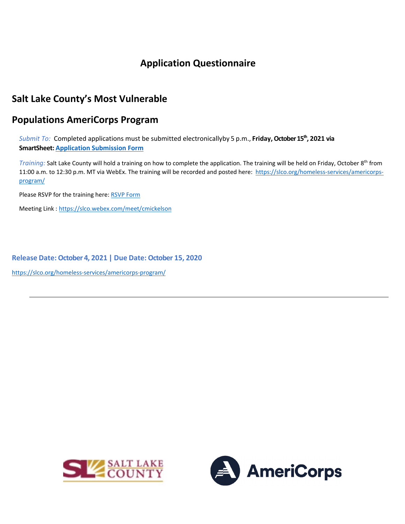# **Application Questionnaire**

## **Salt Lake County's Most Vulnerable**

## **Populations AmeriCorps Program**

*Submit To:* Completed applications must be submitted electronicallyby 5 p.m., Friday, October 15<sup>th</sup>, 2021 via **SmartSheet[: Application Submission Form](https://app.smartsheet.com/b/form/4ce90b95dd6f43a98b5ca62e7048bcc0)**

*Training:* Salt Lake County will hold a training on how to complete the application. The training will be held on Friday, October 8th from 11:00 a.m. to 12:30 p.m. MT via WebEx. The training will be recorded and posted here: [https://slco.org/homeless-services/americorps](https://slco.org/homeless-services/americorps-program/)[program/](https://slco.org/homeless-services/americorps-program/)

Please RSVP for the training here: [RSVP Form](https://docs.google.com/forms/d/e/1FAIpQLSdxjtw5bY8DqOuCmn7HkvVtawMexM5X8gMSYV1wOYDLg9Gqww/viewform?usp=sf_link)

Meeting Link : <https://slco.webex.com/meet/cmickelson>

**Release Date: October 4, 2021 | Due Date: October 15, 2020**

<https://slco.org/homeless-services/americorps-program/>



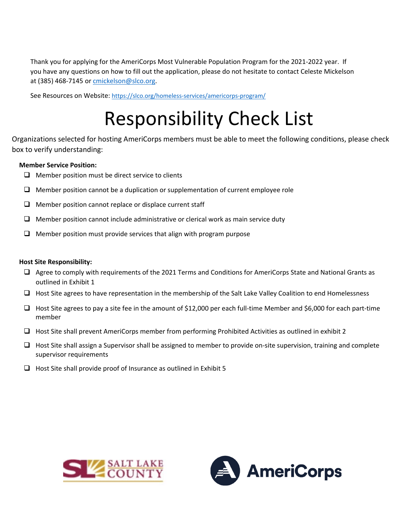Thank you for applying for the AmeriCorps Most Vulnerable Population Program for the 2021-2022 year. If you have any questions on how to fill out the application, please do not hesitate to contact Celeste Mickelson at (385) 468-7145 or [cmickelson@slco.org.](mailto:tmcfadden@slco.org)

See Resources on Website:<https://slco.org/homeless-services/americorps-program/>

# Responsibility Check List

Organizations selected for hosting AmeriCorps members must be able to meet the following conditions, please check box to verify understanding:

#### **Member Service Position:**

- $\Box$  Member position must be direct service to clients
- $\Box$  Member position cannot be a duplication or supplementation of current employee role
- $\Box$  Member position cannot replace or displace current staff
- $\Box$  Member position cannot include administrative or clerical work as main service duty
- $\Box$  Member position must provide services that align with program purpose

#### **Host Site Responsibility:**

- $\Box$  Agree to comply with requirements of the 2021 Terms and Conditions for AmeriCorps State and National Grants as outlined in Exhibit 1
- $\Box$  Host Site agrees to have representation in the membership of the Salt Lake Valley Coalition to end Homelessness
- $\Box$  Host Site agrees to pay a site fee in the amount of \$12,000 per each full-time Member and \$6,000 for each part-time member
- $\Box$  Host Site shall prevent AmeriCorps member from performing Prohibited Activities as outlined in exhibit 2
- $\Box$  Host Site shall assign a Supervisor shall be assigned to member to provide on-site supervision, training and complete supervisor requirements
- $\Box$  Host Site shall provide proof of Insurance as outlined in Exhibit 5



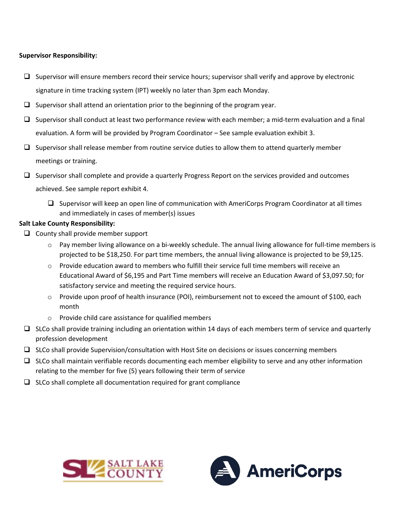## **Supervisor Responsibility:**

- $\Box$  Supervisor will ensure members record their service hours; supervisor shall verify and approve by electronic signature in time tracking system (IPT) weekly no later than 3pm each Monday.
- $\Box$  Supervisor shall attend an orientation prior to the beginning of the program year.
- $\square$  Supervisor shall conduct at least two performance review with each member; a mid-term evaluation and a final evaluation. A form will be provided by Program Coordinator – See sample evaluation exhibit 3.
- $\square$  Supervisor shall release member from routine service duties to allow them to attend quarterly member meetings or training.
- $\Box$  Supervisor shall complete and provide a quarterly Progress Report on the services provided and outcomes achieved. See sample report exhibit 4.
	- $\Box$  Supervisor will keep an open line of communication with AmeriCorps Program Coordinator at all times and immediately in cases of member(s) issues

### **Salt Lake County Responsibility:**

- $\Box$  County shall provide member support
	- $\circ$  Pay member living allowance on a bi-weekly schedule. The annual living allowance for full-time members is projected to be \$18,250. For part time members, the annual living allowance is projected to be \$9,125.
	- $\circ$  Provide education award to members who fulfill their service full time members will receive an Educational Award of \$6,195 and Part Time members will receive an Education Award of \$3,097.50; for satisfactory service and meeting the required service hours.
	- o Provide upon proof of health insurance (POI), reimbursement not to exceed the amount of \$100, each month
	- o Provide child care assistance for qualified members
- $\square$  SLCo shall provide training including an orientation within 14 days of each members term of service and quarterly profession development
- $\Box$  SLCo shall provide Supervision/consultation with Host Site on decisions or issues concerning members
- $\Box$  SLCo shall maintain verifiable records documenting each member eligibility to serve and any other information relating to the member for five (5) years following their term of service
- $\square$  SLCo shall complete all documentation required for grant compliance



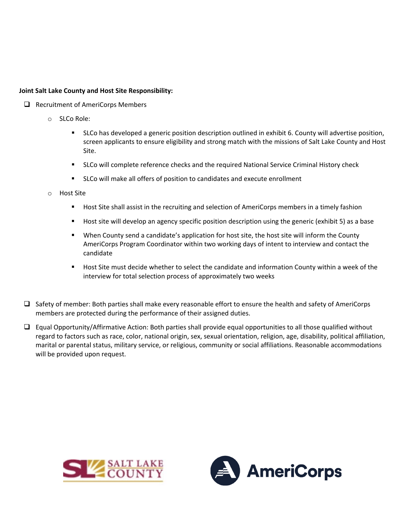## **Joint Salt Lake County and Host Site Responsibility:**

- $\Box$  Recruitment of AmeriCorps Members
	- o SLCo Role:
		- **SLCo has developed a generic position description outlined in exhibit 6. County will advertise position,** screen applicants to ensure eligibility and strong match with the missions of Salt Lake County and Host Site.
		- **SLCo will complete reference checks and the required National Service Criminal History check**
		- SLCo will make all offers of position to candidates and execute enrollment
	- o Host Site
		- **Host Site shall assist in the recruiting and selection of AmeriCorps members in a timely fashion**
		- **Host site will develop an agency specific position description using the generic (exhibit 5) as a base**
		- When County send a candidate's application for host site, the host site will inform the County AmeriCorps Program Coordinator within two working days of intent to interview and contact the candidate
		- Host Site must decide whether to select the candidate and information County within a week of the interview for total selection process of approximately two weeks
- $\Box$  Safety of member: Both parties shall make every reasonable effort to ensure the health and safety of AmeriCorps members are protected during the performance of their assigned duties.
- $\Box$  Equal Opportunity/Affirmative Action: Both parties shall provide equal opportunities to all those qualified without regard to factors such as race, color, national origin, sex, sexual orientation, religion, age, disability, political affiliation, marital or parental status, military service, or religious, community or social affiliations. Reasonable accommodations will be provided upon request.



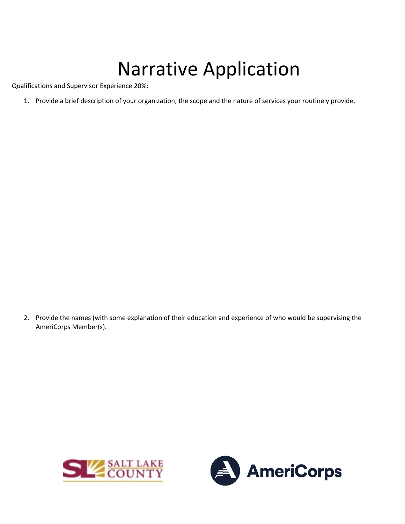# Narrative Application

Qualifications and Supervisor Experience 20%:

1. Provide a brief description of your organization, the scope and the nature of services your routinely provide.

2. Provide the names (with some explanation of their education and experience of who would be supervising the AmeriCorps Member(s).



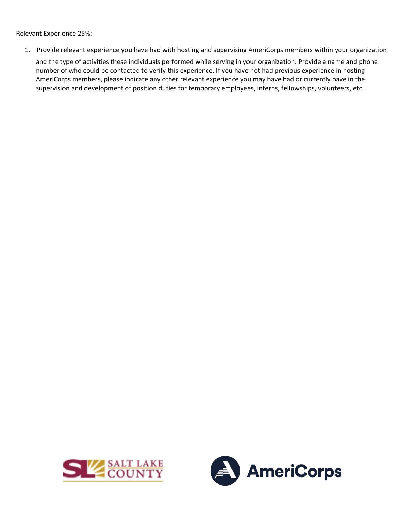Relevant Experience 25%:

1. Provide relevant experience you have had with hosting and supervising AmeriCorps members within your organization and the type of activities these individuals performed while serving in your organization. Provide a name and phone number of who could be contacted to verify this experience. If you have not had previous experience in hosting AmeriCorps members, please indicate any other relevant experience you may have had or currently have in the supervision and development of position duties for temporary employees, interns, fellowships, volunteers, etc.



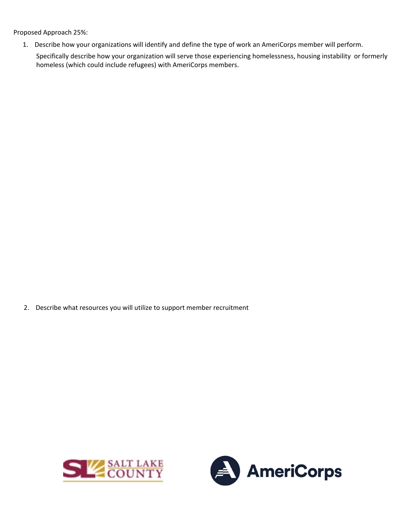Proposed Approach 25%:

1. Describe how your organizations will identify and define the type of work an AmeriCorps member will perform.

Specifically describe how your organization will serve those experiencing homelessness, housing instability or formerly homeless (which could include refugees) with AmeriCorps members.

2. Describe what resources you will utilize to support member recruitment



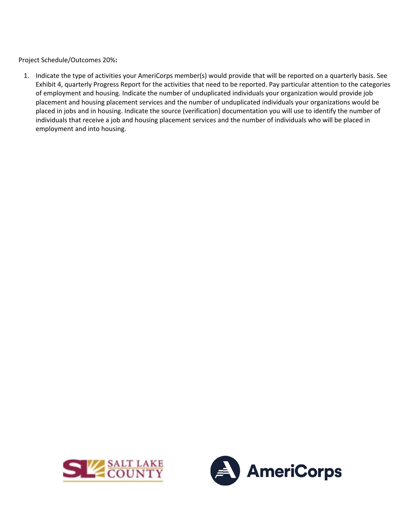Project Schedule/Outcomes 20%**:** 

1. Indicate the type of activities your AmeriCorps member(s) would provide that will be reported on a quarterly basis. See Exhibit 4, quarterly Progress Report for the activities that need to be reported. Pay particular attention to the categories of employment and housing. Indicate the number of unduplicated individuals your organization would provide job placement and housing placement services and the number of unduplicated individuals your organizations would be placed in jobs and in housing. Indicate the source (verification) documentation you will use to identify the number of individuals that receive a job and housing placement services and the number of individuals who will be placed in employment and into housing.